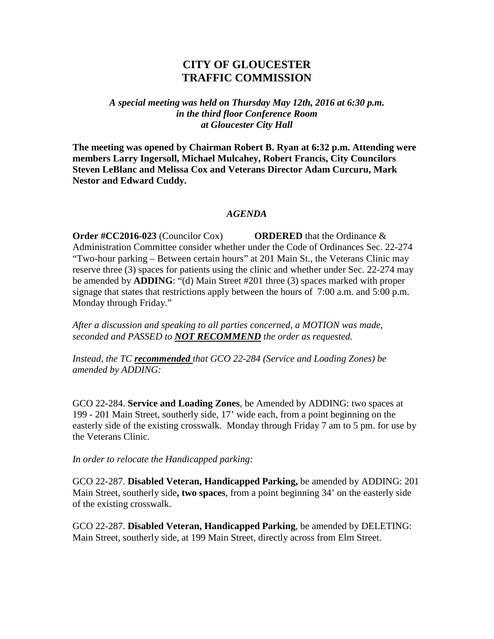## **CITY OF GLOUCESTER TRAFFIC COMMISSION**

*A special meeting was held on Thursday May 12th, 2016 at 6:30 p.m. in the third floor Conference Room at Gloucester City Hall*

**The meeting was opened by Chairman Robert B. Ryan at 6:32 p.m. Attending were members Larry Ingersoll, Michael Mulcahey, Robert Francis, City Councilors Steven LeBlanc and Melissa Cox and Veterans Director Adam Curcuru, Mark Nestor and Edward Cuddy.**

## *AGENDA*

**Order #CC2016-023** (Councilor Cox) **ORDERED** that the Ordinance & Administration Committee consider whether under the Code of Ordinances Sec. 22-274 "Two-hour parking – Between certain hours" at 201 Main St., the Veterans Clinic may reserve three (3) spaces for patients using the clinic and whether under Sec. 22-274 may be amended by **ADDING**: "(d) Main Street #201 three (3) spaces marked with proper signage that states that restrictions apply between the hours of 7:00 a.m. and 5:00 p.m. Monday through Friday."

*After a discussion and speaking to all parties concerned, a MOTION was made, seconded and PASSED to NOT RECOMMEND the order as requested.*

*Instead, the TC recommended that GCO 22-284 (Service and Loading Zones) be amended by ADDING:*

GCO 22-284. **Service and Loading Zones**, be Amended by ADDING: two spaces at 199 - 201 Main Street, southerly side, 17' wide each, from a point beginning on the easterly side of the existing crosswalk. Monday through Friday 7 am to 5 pm. for use by the Veterans Clinic.

*In order to relocate the Handicapped parking:*

GCO 22-287. **Disabled Veteran, Handicapped Parking,** be amended by ADDING: 201 Main Street, southerly side**, two spaces**, from a point beginning 34' on the easterly side of the existing crosswalk.

GCO 22-287. **Disabled Veteran, Handicapped Parking**, be amended by DELETING: Main Street, southerly side, at 199 Main Street, directly across from Elm Street.